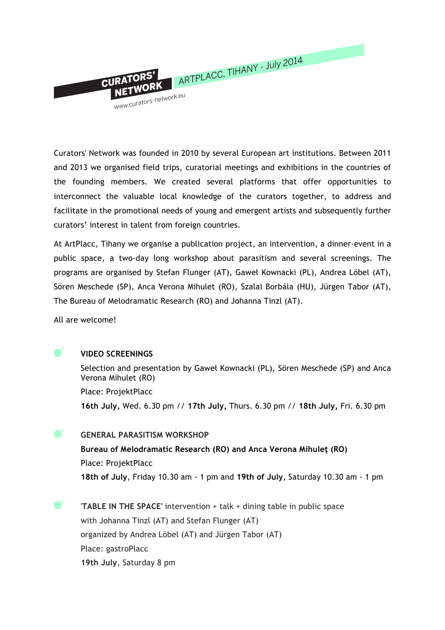

Curators' Network was founded in 2010 by several European art institutions. Between 2011 and 2013 we organised field trips, curatorial meetings and exhibitions in the countries of the founding members. We created several platforms that offer opportunities to interconnect the valuable local knowledge of the curators together, to address and facilitate in the promotional needs of young and emergent artists and subsequently further curators' interest in talent from foreign countries.

At ArtPlacc, Tihany we organise a publication project, an intervention, a dinner-event in a public space, a two-day long workshop about parasitism and several screenings. The programs are organised by Stefan Flunger (AT), Gaweł Kownacki (PL), Andrea Löbel (AT), Sören Meschede (SP), Anca Verona Mihulet (RO), Szalai Borbála (HU), Jürgen Tabor (AT), The Bureau of Melodramatic Research (RO) and Johanna Tinzl (AT).

All are welcome!



 $\bullet$ '

 $\blacksquare'$ 

## **VIDEO SCREENINGS**

Selection and presentation by Gaweł Kownacki (PL), Sören Meschede (SP) and Anca Verona Mihulet (RO) Place: ProjektPlacc **16th July,** Wed. 6.30 pm // **17th July,** Thurs. 6.30 pm // **18th July,** Fri. 6.30 pm

**GENERAL PARASITISM WORKSHOP**

**Bureau of Melodramatic Research (RO) and Anca Verona Mihuleţ (RO)** Place: ProjektPlacc **18th of July**, Friday 10.30 am - 1 pm and **19th of July**, Saturday 10.30 am - 1 pm

'**TABLE IN THE SPACE'** intervention + talk + dining table in public space with Johanna Tinzl (AT) and Stefan Flunger (AT) organized by Andrea Löbel (AT) and Jürgen Tabor (AT) Place: gastroPlacc **19th July**, Saturday 8 pm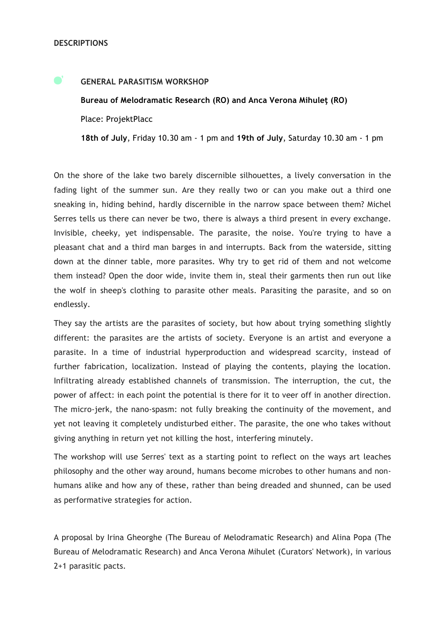$\bullet$ '

## **GENERAL PARASITISM WORKSHOP**

**Bureau of Melodramatic Research (RO) and Anca Verona Mihuleţ (RO)** Place: ProjektPlacc

**18th of July**, Friday 10.30 am - 1 pm and **19th of July**, Saturday 10.30 am - 1 pm

On the shore of the lake two barely discernible silhouettes, a lively conversation in the fading light of the summer sun. Are they really two or can you make out a third one sneaking in, hiding behind, hardly discernible in the narrow space between them? Michel Serres tells us there can never be two, there is always a third present in every exchange. Invisible, cheeky, yet indispensable. The parasite, the noise. You're trying to have a pleasant chat and a third man barges in and interrupts. Back from the waterside, sitting down at the dinner table, more parasites. Why try to get rid of them and not welcome them instead? Open the door wide, invite them in, steal their garments then run out like the wolf in sheep's clothing to parasite other meals. Parasiting the parasite, and so on endlessly.

They say the artists are the parasites of society, but how about trying something slightly different: the parasites are the artists of society. Everyone is an artist and everyone a parasite. In a time of industrial hyperproduction and widespread scarcity, instead of further fabrication, localization. Instead of playing the contents, playing the location. Infiltrating already established channels of transmission. The interruption, the cut, the power of affect: in each point the potential is there for it to veer off in another direction. The micro-jerk, the nano-spasm: not fully breaking the continuity of the movement, and yet not leaving it completely undisturbed either. The parasite, the one who takes without giving anything in return yet not killing the host, interfering minutely.

The workshop will use Serres' text as a starting point to reflect on the ways art leaches philosophy and the other way around, humans become microbes to other humans and nonhumans alike and how any of these, rather than being dreaded and shunned, can be used as performative strategies for action.

A proposal by Irina Gheorghe (The Bureau of Melodramatic Research) and Alina Popa (The Bureau of Melodramatic Research) and Anca Verona Mihulet (Curators' Network), in various 2+1 parasitic pacts.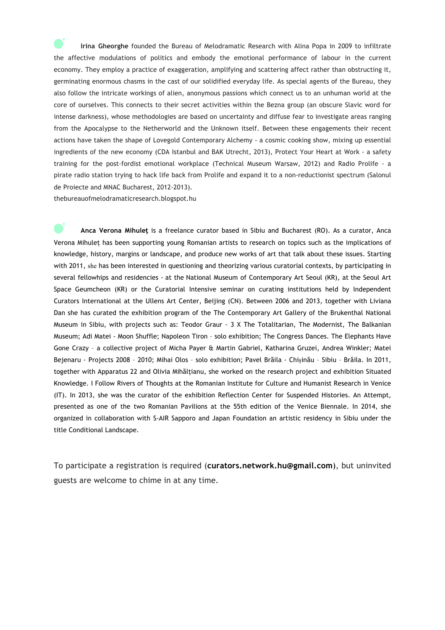**Irina Gheorghe** founded the Bureau of Melodramatic Research with Alina Popa in 2009 to infiltrate the affective modulations of politics and embody the emotional performance of labour in the current economy. They employ a practice of exaggeration, amplifying and scattering affect rather than obstructing it, germinating enormous chasms in the cast of our solidified everyday life. As special agents of the Bureau, they also follow the intricate workings of alien, anonymous passions which connect us to an unhuman world at the core of ourselves. This connects to their secret activities within the Bezna group (an obscure Slavic word for intense darkness), whose methodologies are based on uncertainty and diffuse fear to investigate areas ranging from the Apocalypse to the Netherworld and the Unknown itself. Between these engagements their recent actions have taken the shape of Lovegold Contemporary Alchemy - a cosmic cooking show, mixing up essential ingredients of the new economy (CDA Istanbul and BAK Utrecht, 2013), Protect Your Heart at Work - a safety training for the post-fordist emotional workplace (Technical Museum Warsaw, 2012) and Radio Prolife - a pirate radio station trying to hack life back from Prolife and expand it to a non-reductionist spectrum (Salonul de Proiecte and MNAC Bucharest, 2012-2013).

thebureauofmelodramaticresearch.blogspot.hu

**Anca Verona Mihuleţ** is a freelance curator based in Sibiu and Bucharest (RO). As a curator, Anca Verona Mihuleţ has been supporting young Romanian artists to research on topics such as the implications of knowledge, history, margins or landscape, and produce new works of art that talk about these issues. Starting with 2011, she has been interested in questioning and theorizing various curatorial contexts, by participating in several fellowhips and residencies - at the National Museum of Contemporary Art Seoul (KR), at the Seoul Art Space Geumcheon (KR) or the Curatorial Intensive seminar on curating institutions held by Independent Curators International at the Ullens Art Center, Beijing (CN). Between 2006 and 2013, together with Liviana Dan she has curated the exhibition program of the The Contemporary Art Gallery of the Brukenthal National Museum in Sibiu, with projects such as: Teodor Graur - 3 X The Totalitarian, The Modernist, The Balkanian Museum; Adi Matei - Moon Shuffle; Napoleon Tiron – solo exhibition; The Congress Dances. The Elephants Have Gone Crazy – a collective project of Micha Payer & Martin Gabriel, Katharina Gruzei, Andrea Winkler; Matei Bejenaru - Projects 2008 – 2010; Mihai Olos – solo exhibition; Pavel Brăila - Chișinău – Sibiu – Brăila. In 2011, together with Apparatus 22 and Olivia Mihălţianu, she worked on the research project and exhibition Situated Knowledge. I Follow Rivers of Thoughts at the Romanian Institute for Culture and Humanist Research in Venice (IT). In 2013, she was the curator of the exhibition Reflection Center for Suspended Histories. An Attempt, presented as one of the two Romanian Pavilions at the 55th edition of the Venice Biennale. In 2014, she organized in collaboration with S-AIR Sapporo and Japan Foundation an artistic residency in Sibiu under the title Conditional Landscape.

To participate a registration is required (**curators.network.hu@gmail.com**), but uninvited guests are welcome to chime in at any time.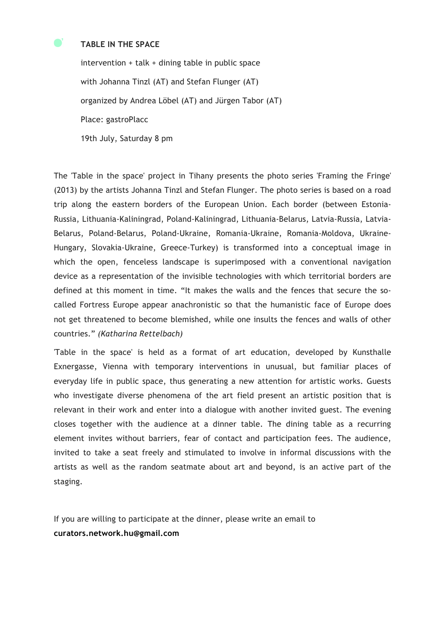## **TABLE IN THE SPACE**

intervention + talk + dining table in public space with Johanna Tinzl (AT) and Stefan Flunger (AT) organized by Andrea Löbel (AT) and Jürgen Tabor (AT) Place: gastroPlacc 19th July, Saturday 8 pm

The 'Table in the space' project in Tihany presents the photo series 'Framing the Fringe' (2013) by the artists Johanna Tinzl and Stefan Flunger. The photo series is based on a road trip along the eastern borders of the European Union. Each border (between Estonia-Russia, Lithuania-Kaliningrad, Poland-Kaliningrad, Lithuania-Belarus, Latvia-Russia, Latvia-Belarus, Poland-Belarus, Poland-Ukraine, Romania-Ukraine, Romania-Moldova, Ukraine-Hungary, Slovakia-Ukraine, Greece-Turkey) is transformed into a conceptual image in which the open, fenceless landscape is superimposed with a conventional navigation device as a representation of the invisible technologies with which territorial borders are defined at this moment in time. "It makes the walls and the fences that secure the socalled Fortress Europe appear anachronistic so that the humanistic face of Europe does not get threatened to become blemished, while one insults the fences and walls of other countries." *(Katharina Rettelbach)*

'Table in the space' is held as a format of art education, developed by Kunsthalle Exnergasse, Vienna with temporary interventions in unusual, but familiar places of everyday life in public space, thus generating a new attention for artistic works. Guests who investigate diverse phenomena of the art field present an artistic position that is relevant in their work and enter into a dialogue with another invited guest. The evening closes together with the audience at a dinner table. The dining table as a recurring element invites without barriers, fear of contact and participation fees. The audience, invited to take a seat freely and stimulated to involve in informal discussions with the artists as well as the random seatmate about art and beyond, is an active part of the staging.

If you are willing to participate at the dinner, please write an email to **curators.network.hu@gmail.com**